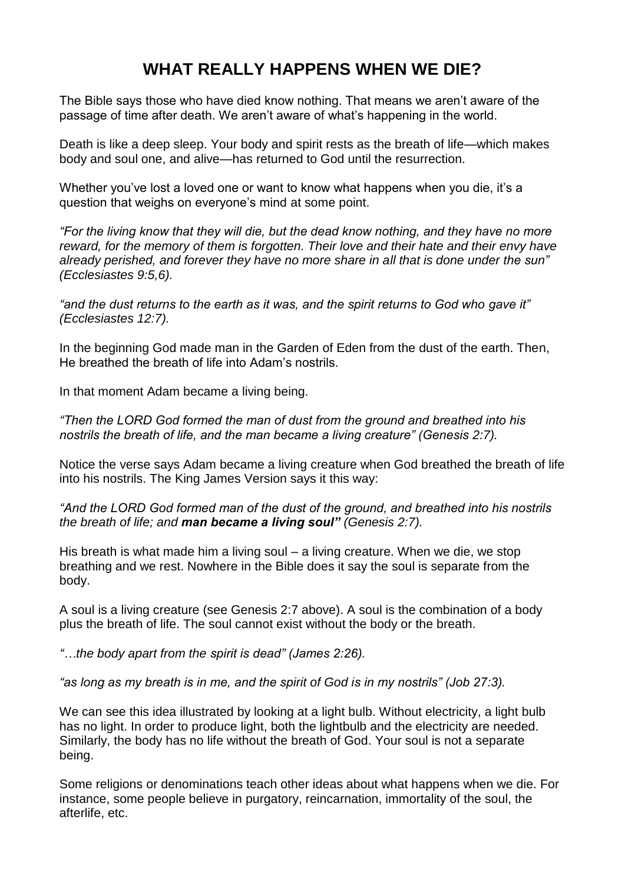# **WHAT REALLY HAPPENS WHEN WE DIE?**

The Bible says those who have died know nothing. That means we aren't aware of the passage of time after death. We aren't aware of what's happening in the world.

Death is like a deep sleep. Your body and spirit rests as the breath of life—which makes body and soul one, and alive—has returned to God until the resurrection.

Whether you've lost a loved one or want to know what happens when you die, it's a question that weighs on everyone's mind at some point.

*"For the living know that they will die, but the dead know nothing, and they have no more reward, for the memory of them is forgotten. Their love and their hate and their envy have already perished, and forever they have no more share in all that is done under the sun" (Ecclesiastes 9:5,6).*

*"and the dust returns to the earth as it was, and the spirit returns to God who gave it" (Ecclesiastes 12:7).*

In the beginning God made man in the Garden of Eden from the dust of the earth. Then, He breathed the breath of life into Adam's nostrils.

In that moment Adam became a living being.

*"Then the LORD God formed the man of dust from the ground and breathed into his nostrils the breath of life, and the man became a living creature" (Genesis 2:7).*

Notice the verse says Adam became a living creature when God breathed the breath of life into his nostrils. The King James Version says it this way:

*"And the LORD God formed man of the dust of the ground, and breathed into his nostrils the breath of life; and man became a living soul" (Genesis 2:7).*

His breath is what made him a living soul – a living creature. When we die, we stop breathing and we rest. Nowhere in the Bible does it say the soul is separate from the body.

A soul is a living creature (see Genesis 2:7 above). A soul is the combination of a body plus the breath of life. The soul cannot exist without the body or the breath.

*"…the body apart from the spirit is dead" (James 2:26).*

*"as long as my breath is in me, and the spirit of God is in my nostrils" (Job 27:3).*

We can see this idea illustrated by looking at a light bulb. Without electricity, a light bulb has no light. In order to produce light, both the lightbulb and the electricity are needed. Similarly, the body has no life without the breath of God. Your soul is not a separate being.

Some religions or denominations teach other ideas about what happens when we die. For instance, some people believe in purgatory, reincarnation, immortality of the soul, the afterlife, etc.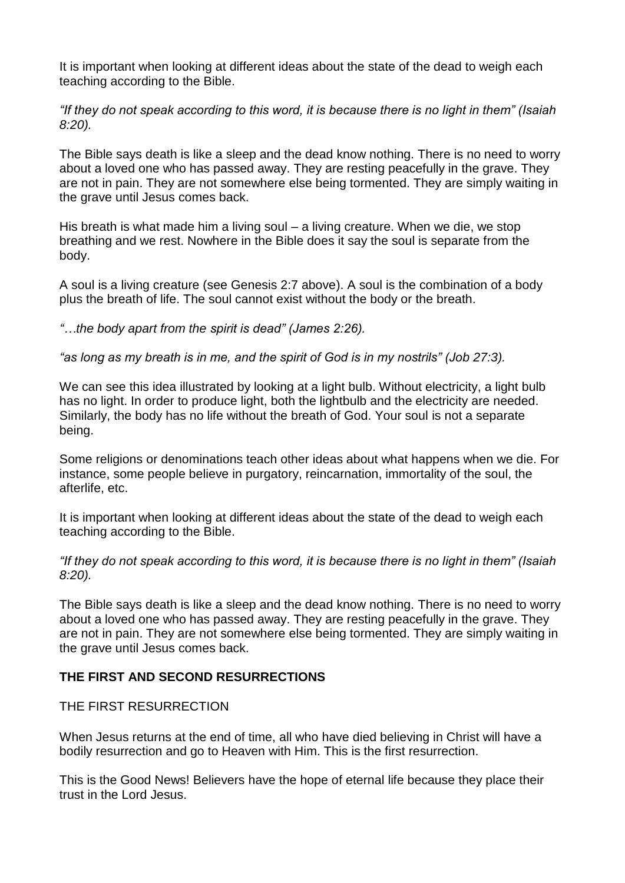It is important when looking at different ideas about the state of the dead to weigh each teaching according to the Bible.

*"If they do not speak according to this word, it is because there is no light in them" (Isaiah 8:20).*

The Bible says death is like a sleep and the dead know nothing. There is no need to worry about a loved one who has passed away. They are resting peacefully in the grave. They are not in pain. They are not somewhere else being tormented. They are simply waiting in the grave until Jesus comes back.

His breath is what made him a living soul – a living creature. When we die, we stop breathing and we rest. Nowhere in the Bible does it say the soul is separate from the body.

A soul is a living creature (see Genesis 2:7 above). A soul is the combination of a body plus the breath of life. The soul cannot exist without the body or the breath.

*"…the body apart from the spirit is dead" (James 2:26).*

*"as long as my breath is in me, and the spirit of God is in my nostrils" (Job 27:3).*

We can see this idea illustrated by looking at a light bulb. Without electricity, a light bulb has no light. In order to produce light, both the lightbulb and the electricity are needed. Similarly, the body has no life without the breath of God. Your soul is not a separate being.

Some religions or denominations teach other ideas about what happens when we die. For instance, some people believe in purgatory, reincarnation, immortality of the soul, the afterlife, etc.

It is important when looking at different ideas about the state of the dead to weigh each teaching according to the Bible.

*"If they do not speak according to this word, it is because there is no light in them" (Isaiah 8:20).*

The Bible says death is like a sleep and the dead know nothing. There is no need to worry about a loved one who has passed away. They are resting peacefully in the grave. They are not in pain. They are not somewhere else being tormented. They are simply waiting in the grave until Jesus comes back.

## **THE FIRST AND SECOND RESURRECTIONS**

THE FIRST RESURRECTION

When Jesus returns at the end of time, all who have died believing in Christ will have a bodily resurrection and go to Heaven with Him. This is the first resurrection.

This is the Good News! Believers have the hope of eternal life because they place their trust in the Lord Jesus.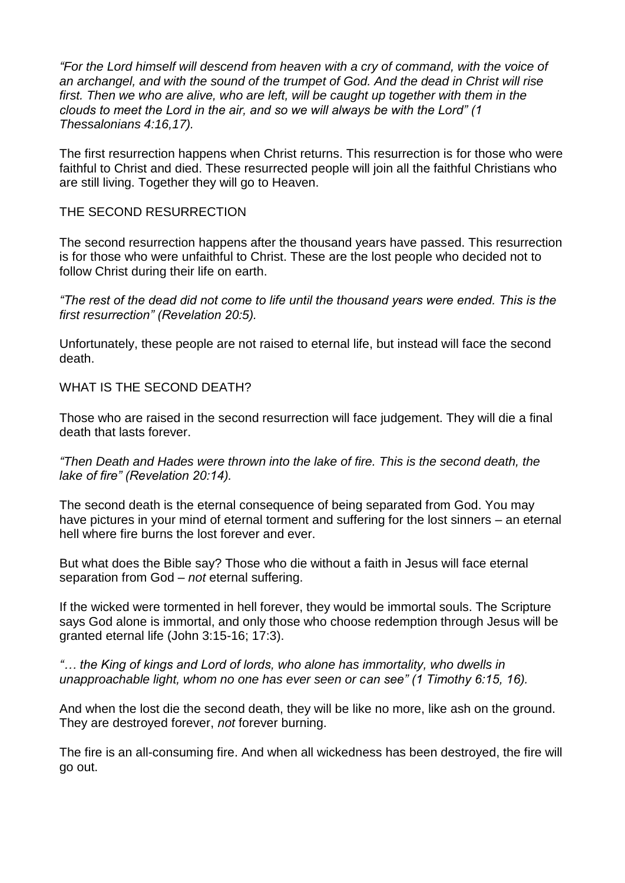*"For the Lord himself will descend from heaven with a cry of command, with the voice of an archangel, and with the sound of the trumpet of God. And the dead in Christ will rise first. Then we who are alive, who are left, will be caught up together with them in the clouds to meet the Lord in the air, and so we will always be with the Lord" (1 Thessalonians 4:16,17).*

The first resurrection happens when Christ returns. This resurrection is for those who were faithful to Christ and died. These resurrected people will join all the faithful Christians who are still living. Together they will go to Heaven.

#### THE SECOND RESURRECTION

The second resurrection happens after the thousand years have passed. This resurrection is for those who were unfaithful to Christ. These are the lost people who decided not to follow Christ during their life on earth.

*"The rest of the dead did not come to life until the thousand years were ended. This is the first resurrection" (Revelation 20:5).*

Unfortunately, these people are not raised to eternal life, but instead will face the second death.

WHAT IS THE SECOND DEATH?

Those who are raised in the second resurrection will face judgement. They will die a final death that lasts forever.

*"Then Death and Hades were thrown into the lake of fire. This is the second death, the lake of fire" (Revelation 20:14).*

The second death is the eternal consequence of being separated from God. You may have pictures in your mind of eternal torment and suffering for the lost sinners – an eternal hell where fire burns the lost forever and ever.

But what does the Bible say? Those who die without a faith in Jesus will face eternal separation from God – *not* eternal suffering.

If the wicked were tormented in hell forever, they would be immortal souls. The Scripture says God alone is immortal, and only those who choose redemption through Jesus will be granted eternal life (John 3:15-16; 17:3).

*"… the King of kings and Lord of lords, who alone has immortality, who dwells in unapproachable light, whom no one has ever seen or can see" (1 Timothy 6:15, 16).*

And when the lost die the second death, they will be like no more, like ash on the ground. They are destroyed forever, *not* forever burning.

The fire is an all-consuming fire. And when all wickedness has been destroyed, the fire will go out.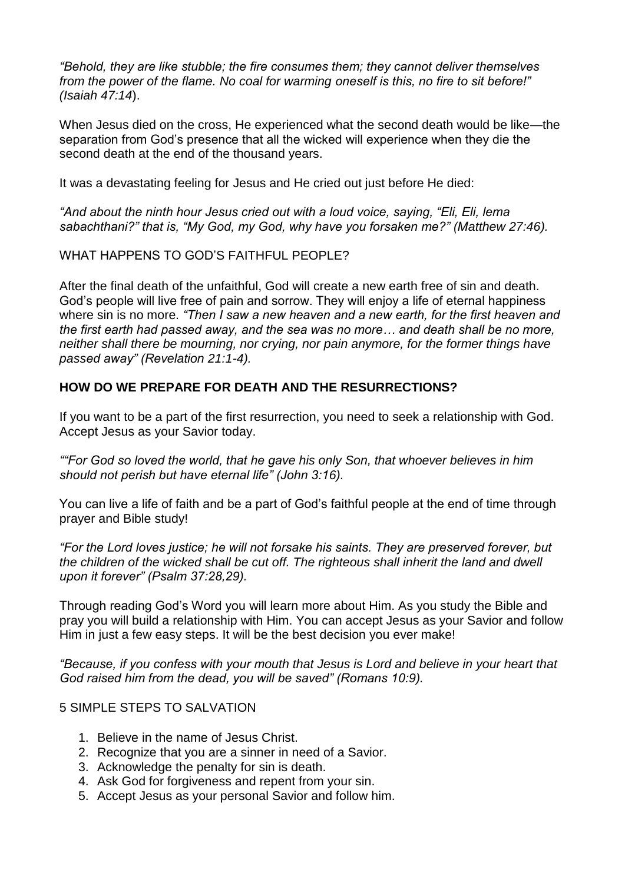*"Behold, they are like stubble; the fire consumes them; they cannot deliver themselves from the power of the flame. No coal for warming oneself is this, no fire to sit before!" (Isaiah 47:14*).

When Jesus died on the cross, He experienced what the second death would be like—the separation from God's presence that all the wicked will experience when they die the second death at the end of the thousand years.

It was a devastating feeling for Jesus and He cried out just before He died:

*"And about the ninth hour Jesus cried out with a loud voice, saying, "Eli, Eli, lema sabachthani?" that is, "My God, my God, why have you forsaken me?" (Matthew 27:46).*

WHAT HAPPENS TO GOD'S FAITHFUL PEOPLE?

After the final death of the unfaithful, God will create a new earth free of sin and death. God's people will live free of pain and sorrow. They will enjoy a life of eternal happiness where sin is no more. *"Then I saw a new heaven and a new earth, for the first heaven and the first earth had passed away, and the sea was no more… and death shall be no more, neither shall there be mourning, nor crying, nor pain anymore, for the former things have passed away" (Revelation 21:1-4).*

### **HOW DO WE PREPARE FOR DEATH AND THE RESURRECTIONS?**

If you want to be a part of the first resurrection, you need to seek a relationship with God. Accept Jesus as your Savior today.

*""For God so loved the world, that he gave his only Son, that whoever believes in him should not perish but have eternal life" (John 3:16).*

You can live a life of faith and be a part of God's faithful people at the end of time through prayer and Bible study!

*"For the Lord loves justice; he will not forsake his saints. They are preserved forever, but the children of the wicked shall be cut off. The righteous shall inherit the land and dwell upon it forever" (Psalm 37:28,29).*

Through reading God's Word you will learn more about Him. As you study the Bible and pray you will build a relationship with Him. You can accept Jesus as your Savior and follow Him in just a few easy steps. It will be the best decision you ever make!

*"Because, if you confess with your mouth that Jesus is Lord and believe in your heart that God raised him from the dead, you will be saved" (Romans 10:9).*

#### 5 SIMPLE STEPS TO SALVATION

- 1. Believe in the name of Jesus Christ.
- 2. Recognize that you are a sinner in need of a Savior.
- 3. Acknowledge the penalty for sin is death.
- 4. Ask God for forgiveness and repent from your sin.
- 5. Accept Jesus as your personal Savior and follow him.